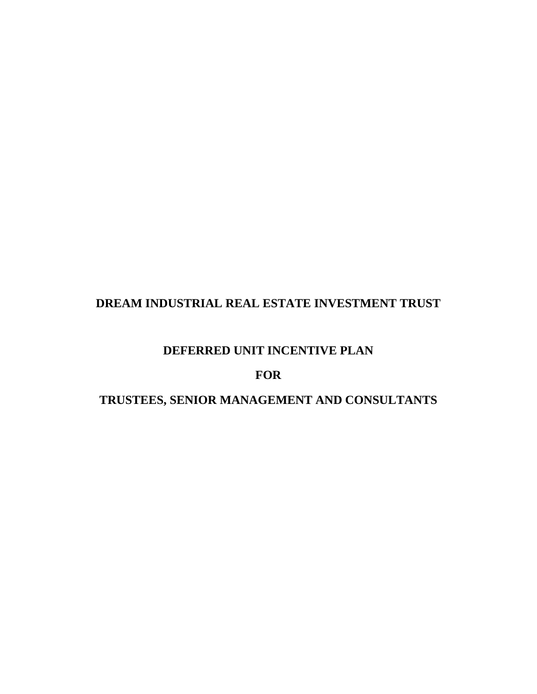# **DREAM INDUSTRIAL REAL ESTATE INVESTMENT TRUST**

# **DEFERRED UNIT INCENTIVE PLAN**

# **FOR**

# **TRUSTEES, SENIOR MANAGEMENT AND CONSULTANTS**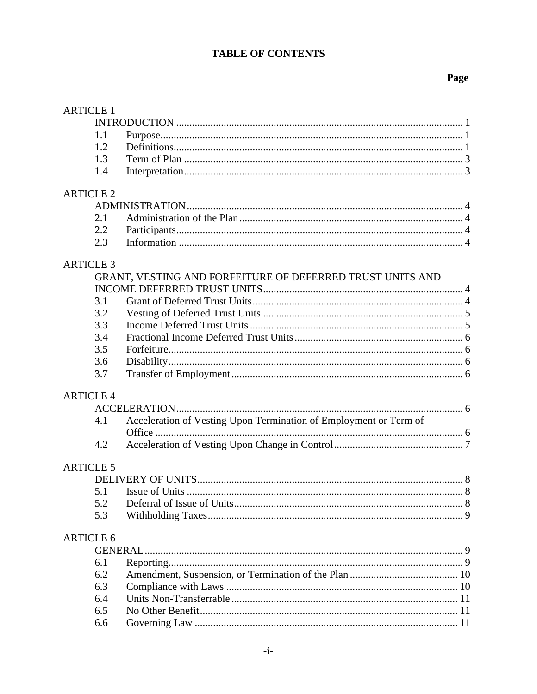# **TABLE OF CONTENTS**

# Page

| <b>ARTICLE 1</b> |                                                                   |  |
|------------------|-------------------------------------------------------------------|--|
|                  |                                                                   |  |
| 1.1              |                                                                   |  |
| 1.2              |                                                                   |  |
| 1.3              |                                                                   |  |
| 1.4              |                                                                   |  |
| <b>ARTICLE 2</b> |                                                                   |  |
|                  |                                                                   |  |
| 2.1              |                                                                   |  |
| 2.2              |                                                                   |  |
| 2.3              |                                                                   |  |
| <b>ARTICLE 3</b> |                                                                   |  |
|                  | GRANT, VESTING AND FORFEITURE OF DEFERRED TRUST UNITS AND         |  |
|                  |                                                                   |  |
| 3.1              |                                                                   |  |
| 3.2              |                                                                   |  |
| 3.3              |                                                                   |  |
| 3.4              |                                                                   |  |
| 3.5              |                                                                   |  |
| 3.6              |                                                                   |  |
| 3.7              |                                                                   |  |
| <b>ARTICLE 4</b> |                                                                   |  |
|                  |                                                                   |  |
| 4.1              | Acceleration of Vesting Upon Termination of Employment or Term of |  |
|                  |                                                                   |  |
| 4.2              |                                                                   |  |
| <b>ARTICLE 5</b> |                                                                   |  |
|                  |                                                                   |  |
| 5.1              |                                                                   |  |
| 5.2              |                                                                   |  |
| 5.3              |                                                                   |  |
| <b>ARTICLE 6</b> |                                                                   |  |
|                  |                                                                   |  |
| 6.1              |                                                                   |  |
| 6.2              |                                                                   |  |
| 6.3              |                                                                   |  |
| 6.4              |                                                                   |  |
| 6.5              |                                                                   |  |
| 6.6              |                                                                   |  |
|                  |                                                                   |  |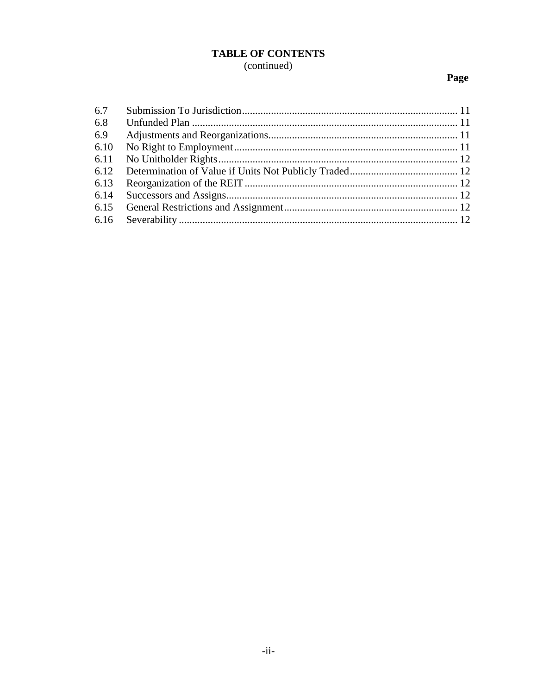# **TABLE OF CONTENTS** (continued)

# Page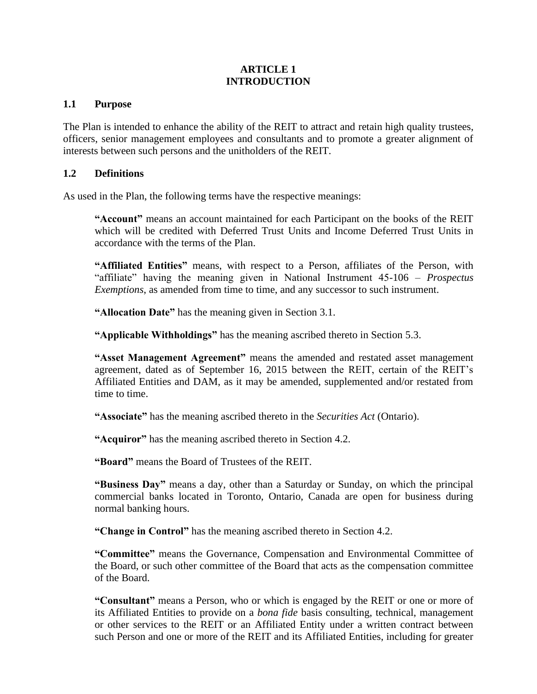## **ARTICLE 1 INTRODUCTION**

### **1.1 Purpose**

The Plan is intended to enhance the ability of the REIT to attract and retain high quality trustees, officers, senior management employees and consultants and to promote a greater alignment of interests between such persons and the unitholders of the REIT.

### **1.2 Definitions**

As used in the Plan, the following terms have the respective meanings:

**"Account"** means an account maintained for each Participant on the books of the REIT which will be credited with Deferred Trust Units and Income Deferred Trust Units in accordance with the terms of the Plan.

**"Affiliated Entities"** means, with respect to a Person, affiliates of the Person, with "affiliate" having the meaning given in National Instrument 45-106 – *Prospectus Exemptions*, as amended from time to time, and any successor to such instrument.

**"Allocation Date"** has the meaning given in Section 3.1.

**"Applicable Withholdings"** has the meaning ascribed thereto in Section 5.3.

**"Asset Management Agreement"** means the amended and restated asset management agreement, dated as of September 16, 2015 between the REIT, certain of the REIT's Affiliated Entities and DAM, as it may be amended, supplemented and/or restated from time to time.

**"Associate"** has the meaning ascribed thereto in the *Securities Act* (Ontario).

**"Acquiror"** has the meaning ascribed thereto in Section 4.2.

**"Board"** means the Board of Trustees of the REIT.

**"Business Day"** means a day, other than a Saturday or Sunday, on which the principal commercial banks located in Toronto, Ontario, Canada are open for business during normal banking hours.

**"Change in Control"** has the meaning ascribed thereto in Section 4.2.

**"Committee"** means the Governance, Compensation and Environmental Committee of the Board, or such other committee of the Board that acts as the compensation committee of the Board.

**"Consultant"** means a Person, who or which is engaged by the REIT or one or more of its Affiliated Entities to provide on a *bona fide* basis consulting, technical, management or other services to the REIT or an Affiliated Entity under a written contract between such Person and one or more of the REIT and its Affiliated Entities, including for greater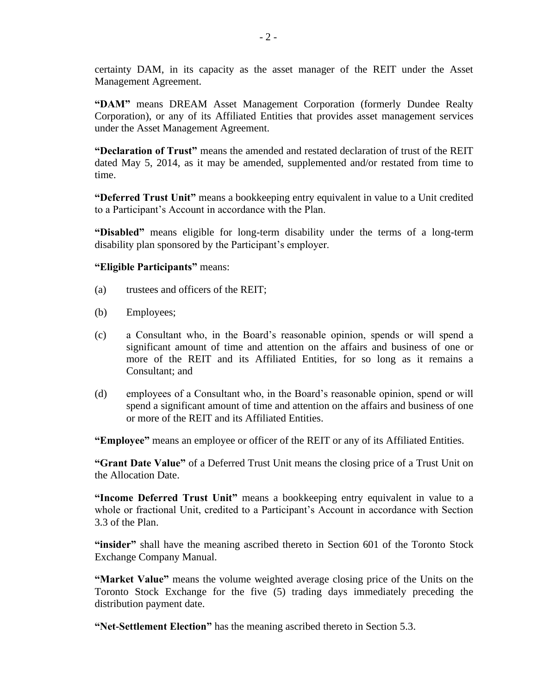certainty DAM, in its capacity as the asset manager of the REIT under the Asset Management Agreement.

**"DAM"** means DREAM Asset Management Corporation (formerly Dundee Realty Corporation), or any of its Affiliated Entities that provides asset management services under the Asset Management Agreement.

**"Declaration of Trust"** means the amended and restated declaration of trust of the REIT dated May 5, 2014, as it may be amended, supplemented and/or restated from time to time.

**"Deferred Trust Unit"** means a bookkeeping entry equivalent in value to a Unit credited to a Participant's Account in accordance with the Plan.

**"Disabled"** means eligible for long-term disability under the terms of a long-term disability plan sponsored by the Participant's employer.

**"Eligible Participants"** means:

- (a) trustees and officers of the REIT;
- (b) Employees;
- (c) a Consultant who, in the Board's reasonable opinion, spends or will spend a significant amount of time and attention on the affairs and business of one or more of the REIT and its Affiliated Entities, for so long as it remains a Consultant; and
- (d) employees of a Consultant who, in the Board's reasonable opinion, spend or will spend a significant amount of time and attention on the affairs and business of one or more of the REIT and its Affiliated Entities.

**"Employee"** means an employee or officer of the REIT or any of its Affiliated Entities.

**"Grant Date Value"** of a Deferred Trust Unit means the closing price of a Trust Unit on the Allocation Date.

**"Income Deferred Trust Unit"** means a bookkeeping entry equivalent in value to a whole or fractional Unit, credited to a Participant's Account in accordance with Section 3.3 of the Plan.

"insider" shall have the meaning ascribed thereto in Section 601 of the Toronto Stock Exchange Company Manual.

**"Market Value"** means the volume weighted average closing price of the Units on the Toronto Stock Exchange for the five (5) trading days immediately preceding the distribution payment date.

**"Net-Settlement Election"** has the meaning ascribed thereto in Section [5.3.](#page-13-0)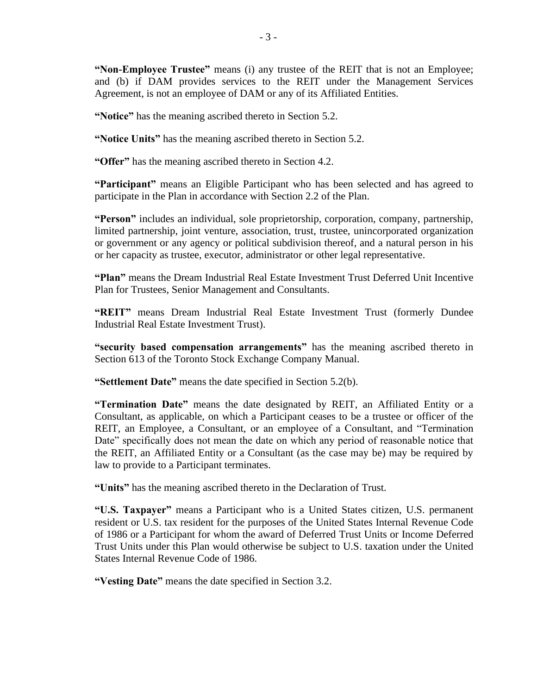**"Non-Employee Trustee"** means (i) any trustee of the REIT that is not an Employee; and (b) if DAM provides services to the REIT under the Management Services Agreement, is not an employee of DAM or any of its Affiliated Entities.

**"Notice"** has the meaning ascribed thereto in Section 5.2.

**"Notice Units"** has the meaning ascribed thereto in Section 5.2.

**"Offer"** has the meaning ascribed thereto in Section 4.2.

**"Participant"** means an Eligible Participant who has been selected and has agreed to participate in the Plan in accordance with Section 2.2 of the Plan.

**"Person"** includes an individual, sole proprietorship, corporation, company, partnership, limited partnership, joint venture, association, trust, trustee, unincorporated organization or government or any agency or political subdivision thereof, and a natural person in his or her capacity as trustee, executor, administrator or other legal representative.

**"Plan"** means the Dream Industrial Real Estate Investment Trust Deferred Unit Incentive Plan for Trustees, Senior Management and Consultants.

**"REIT"** means Dream Industrial Real Estate Investment Trust (formerly Dundee Industrial Real Estate Investment Trust).

**"security based compensation arrangements"** has the meaning ascribed thereto in Section 613 of the Toronto Stock Exchange Company Manual.

**"Settlement Date"** means the date specified in Section 5.2(b).

**"Termination Date"** means the date designated by REIT, an Affiliated Entity or a Consultant, as applicable, on which a Participant ceases to be a trustee or officer of the REIT, an Employee, a Consultant, or an employee of a Consultant, and "Termination Date" specifically does not mean the date on which any period of reasonable notice that the REIT, an Affiliated Entity or a Consultant (as the case may be) may be required by law to provide to a Participant terminates.

**"Units"** has the meaning ascribed thereto in the Declaration of Trust.

**"U.S. Taxpayer"** means a Participant who is a United States citizen, U.S. permanent resident or U.S. tax resident for the purposes of the United States Internal Revenue Code of 1986 or a Participant for whom the award of Deferred Trust Units or Income Deferred Trust Units under this Plan would otherwise be subject to U.S. taxation under the United States Internal Revenue Code of 1986.

**"Vesting Date"** means the date specified in Section 3.2.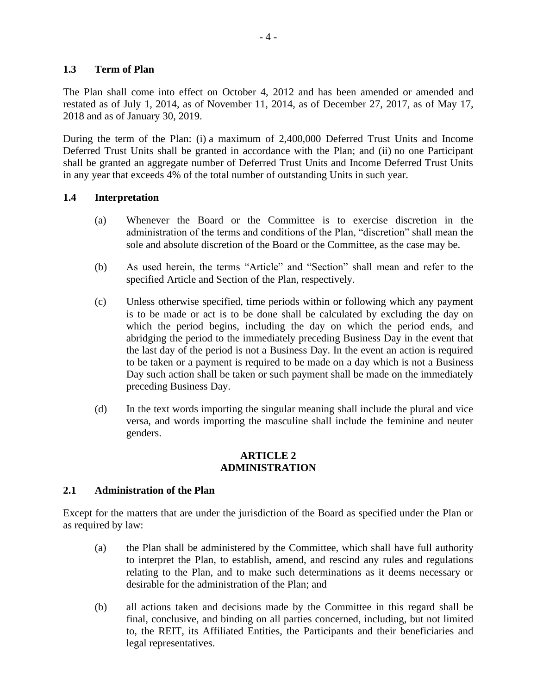### **1.3 Term of Plan**

The Plan shall come into effect on October 4, 2012 and has been amended or amended and restated as of July 1, 2014, as of November 11, 2014, as of December 27, 2017, as of May 17, 2018 and as of January 30, 2019.

During the term of the Plan: (i) a maximum of 2,400,000 Deferred Trust Units and Income Deferred Trust Units shall be granted in accordance with the Plan; and (ii) no one Participant shall be granted an aggregate number of Deferred Trust Units and Income Deferred Trust Units in any year that exceeds 4% of the total number of outstanding Units in such year.

### **1.4 Interpretation**

- (a) Whenever the Board or the Committee is to exercise discretion in the administration of the terms and conditions of the Plan, "discretion" shall mean the sole and absolute discretion of the Board or the Committee, as the case may be.
- (b) As used herein, the terms "Article" and "Section" shall mean and refer to the specified Article and Section of the Plan, respectively.
- (c) Unless otherwise specified, time periods within or following which any payment is to be made or act is to be done shall be calculated by excluding the day on which the period begins, including the day on which the period ends, and abridging the period to the immediately preceding Business Day in the event that the last day of the period is not a Business Day. In the event an action is required to be taken or a payment is required to be made on a day which is not a Business Day such action shall be taken or such payment shall be made on the immediately preceding Business Day.
- (d) In the text words importing the singular meaning shall include the plural and vice versa, and words importing the masculine shall include the feminine and neuter genders.

#### **ARTICLE 2 ADMINISTRATION**

### **2.1 Administration of the Plan**

Except for the matters that are under the jurisdiction of the Board as specified under the Plan or as required by law:

- (a) the Plan shall be administered by the Committee, which shall have full authority to interpret the Plan, to establish, amend, and rescind any rules and regulations relating to the Plan, and to make such determinations as it deems necessary or desirable for the administration of the Plan; and
- (b) all actions taken and decisions made by the Committee in this regard shall be final, conclusive, and binding on all parties concerned, including, but not limited to, the REIT, its Affiliated Entities, the Participants and their beneficiaries and legal representatives.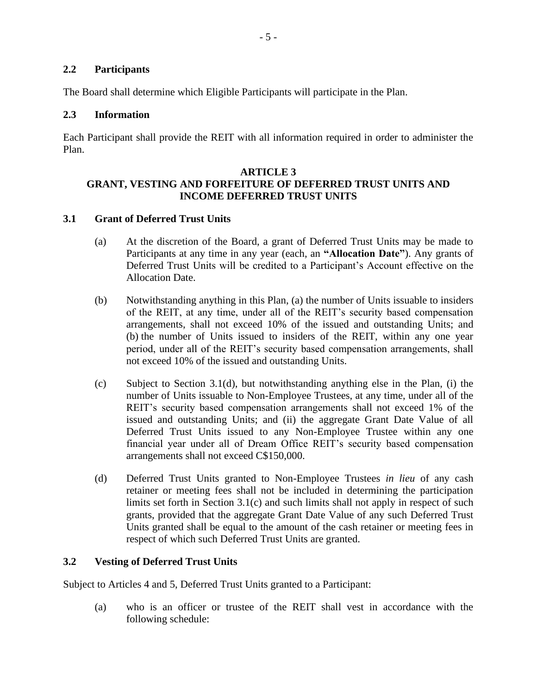# **2.2 Participants**

The Board shall determine which Eligible Participants will participate in the Plan.

### **2.3 Information**

Each Participant shall provide the REIT with all information required in order to administer the Plan.

### **ARTICLE 3 GRANT, VESTING AND FORFEITURE OF DEFERRED TRUST UNITS AND INCOME DEFERRED TRUST UNITS**

# **3.1 Grant of Deferred Trust Units**

- (a) At the discretion of the Board, a grant of Deferred Trust Units may be made to Participants at any time in any year (each, an **"Allocation Date"**). Any grants of Deferred Trust Units will be credited to a Participant's Account effective on the Allocation Date.
- (b) Notwithstanding anything in this Plan, (a) the number of Units issuable to insiders of the REIT, at any time, under all of the REIT's security based compensation arrangements, shall not exceed 10% of the issued and outstanding Units; and (b) the number of Units issued to insiders of the REIT, within any one year period, under all of the REIT's security based compensation arrangements, shall not exceed 10% of the issued and outstanding Units.
- (c) Subject to Section [3.1\(d\),](#page-7-0) but notwithstanding anything else in the Plan, (i) the number of Units issuable to Non-Employee Trustees, at any time, under all of the REIT's security based compensation arrangements shall not exceed 1% of the issued and outstanding Units; and (ii) the aggregate Grant Date Value of all Deferred Trust Units issued to any Non-Employee Trustee within any one financial year under all of Dream Office REIT's security based compensation arrangements shall not exceed C\$150,000.
- <span id="page-7-0"></span>(d) Deferred Trust Units granted to Non-Employee Trustees *in lieu* of any cash retainer or meeting fees shall not be included in determining the participation limits set forth in Section 3.1(c) and such limits shall not apply in respect of such grants, provided that the aggregate Grant Date Value of any such Deferred Trust Units granted shall be equal to the amount of the cash retainer or meeting fees in respect of which such Deferred Trust Units are granted.

# **3.2 Vesting of Deferred Trust Units**

Subject to Articles 4 and 5, Deferred Trust Units granted to a Participant:

(a) who is an officer or trustee of the REIT shall vest in accordance with the following schedule: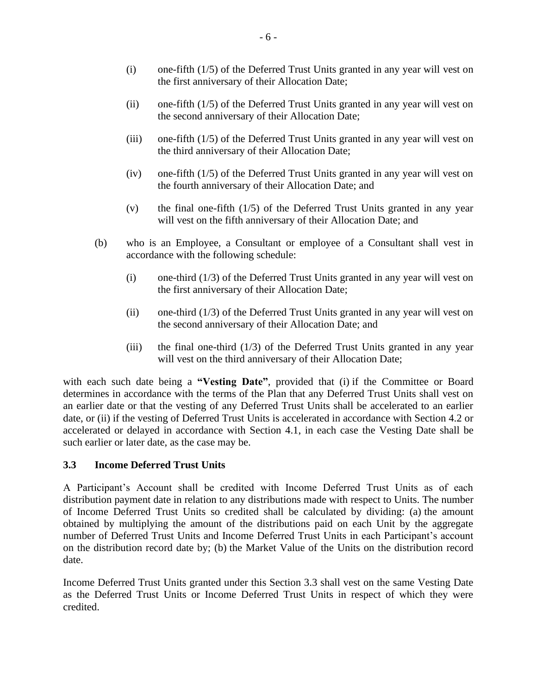- (i) one-fifth (1/5) of the Deferred Trust Units granted in any year will vest on the first anniversary of their Allocation Date;
- (ii) one-fifth (1/5) of the Deferred Trust Units granted in any year will vest on the second anniversary of their Allocation Date;
- (iii) one-fifth (1/5) of the Deferred Trust Units granted in any year will vest on the third anniversary of their Allocation Date;
- (iv) one-fifth (1/5) of the Deferred Trust Units granted in any year will vest on the fourth anniversary of their Allocation Date; and
- (v) the final one-fifth (1/5) of the Deferred Trust Units granted in any year will vest on the fifth anniversary of their Allocation Date; and
- (b) who is an Employee, a Consultant or employee of a Consultant shall vest in accordance with the following schedule:
	- (i) one-third (1/3) of the Deferred Trust Units granted in any year will vest on the first anniversary of their Allocation Date;
	- (ii) one-third (1/3) of the Deferred Trust Units granted in any year will vest on the second anniversary of their Allocation Date; and
	- (iii) the final one-third  $(1/3)$  of the Deferred Trust Units granted in any year will vest on the third anniversary of their Allocation Date;

with each such date being a "Vesting Date", provided that (i) if the Committee or Board determines in accordance with the terms of the Plan that any Deferred Trust Units shall vest on an earlier date or that the vesting of any Deferred Trust Units shall be accelerated to an earlier date, or (ii) if the vesting of Deferred Trust Units is accelerated in accordance with Section 4.2 or accelerated or delayed in accordance with Section 4.1, in each case the Vesting Date shall be such earlier or later date, as the case may be.

### **3.3 Income Deferred Trust Units**

A Participant's Account shall be credited with Income Deferred Trust Units as of each distribution payment date in relation to any distributions made with respect to Units. The number of Income Deferred Trust Units so credited shall be calculated by dividing: (a) the amount obtained by multiplying the amount of the distributions paid on each Unit by the aggregate number of Deferred Trust Units and Income Deferred Trust Units in each Participant's account on the distribution record date by; (b) the Market Value of the Units on the distribution record date.

Income Deferred Trust Units granted under this Section 3.3 shall vest on the same Vesting Date as the Deferred Trust Units or Income Deferred Trust Units in respect of which they were credited.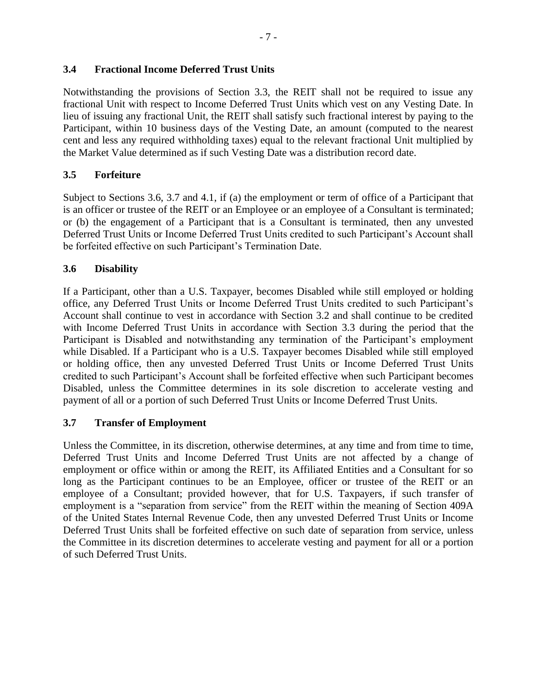# **3.4 Fractional Income Deferred Trust Units**

Notwithstanding the provisions of Section 3.3, the REIT shall not be required to issue any fractional Unit with respect to Income Deferred Trust Units which vest on any Vesting Date. In lieu of issuing any fractional Unit, the REIT shall satisfy such fractional interest by paying to the Participant, within 10 business days of the Vesting Date, an amount (computed to the nearest cent and less any required withholding taxes) equal to the relevant fractional Unit multiplied by the Market Value determined as if such Vesting Date was a distribution record date.

# **3.5 Forfeiture**

Subject to Sections 3.6, 3.7 and 4.1, if (a) the employment or term of office of a Participant that is an officer or trustee of the REIT or an Employee or an employee of a Consultant is terminated; or (b) the engagement of a Participant that is a Consultant is terminated, then any unvested Deferred Trust Units or Income Deferred Trust Units credited to such Participant's Account shall be forfeited effective on such Participant's Termination Date.

# **3.6 Disability**

If a Participant, other than a U.S. Taxpayer, becomes Disabled while still employed or holding office, any Deferred Trust Units or Income Deferred Trust Units credited to such Participant's Account shall continue to vest in accordance with Section 3.2 and shall continue to be credited with Income Deferred Trust Units in accordance with Section 3.3 during the period that the Participant is Disabled and notwithstanding any termination of the Participant's employment while Disabled. If a Participant who is a U.S. Taxpayer becomes Disabled while still employed or holding office, then any unvested Deferred Trust Units or Income Deferred Trust Units credited to such Participant's Account shall be forfeited effective when such Participant becomes Disabled, unless the Committee determines in its sole discretion to accelerate vesting and payment of all or a portion of such Deferred Trust Units or Income Deferred Trust Units.

### **3.7 Transfer of Employment**

Unless the Committee, in its discretion, otherwise determines, at any time and from time to time, Deferred Trust Units and Income Deferred Trust Units are not affected by a change of employment or office within or among the REIT, its Affiliated Entities and a Consultant for so long as the Participant continues to be an Employee, officer or trustee of the REIT or an employee of a Consultant; provided however, that for U.S. Taxpayers, if such transfer of employment is a "separation from service" from the REIT within the meaning of Section 409A of the United States Internal Revenue Code, then any unvested Deferred Trust Units or Income Deferred Trust Units shall be forfeited effective on such date of separation from service, unless the Committee in its discretion determines to accelerate vesting and payment for all or a portion of such Deferred Trust Units.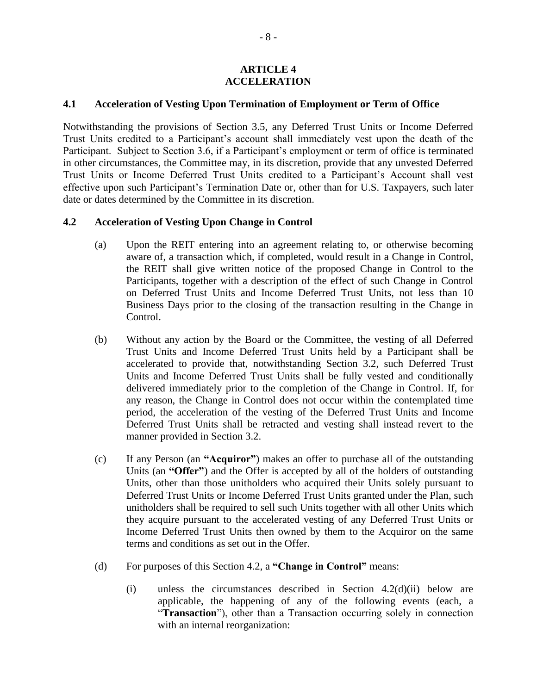#### **ARTICLE 4 ACCELERATION**

#### **4.1 Acceleration of Vesting Upon Termination of Employment or Term of Office**

Notwithstanding the provisions of Section 3.5, any Deferred Trust Units or Income Deferred Trust Units credited to a Participant's account shall immediately vest upon the death of the Participant. Subject to Section 3.6, if a Participant's employment or term of office is terminated in other circumstances, the Committee may, in its discretion, provide that any unvested Deferred Trust Units or Income Deferred Trust Units credited to a Participant's Account shall vest effective upon such Participant's Termination Date or, other than for U.S. Taxpayers, such later date or dates determined by the Committee in its discretion.

#### **4.2 Acceleration of Vesting Upon Change in Control**

- (a) Upon the REIT entering into an agreement relating to, or otherwise becoming aware of, a transaction which, if completed, would result in a Change in Control, the REIT shall give written notice of the proposed Change in Control to the Participants, together with a description of the effect of such Change in Control on Deferred Trust Units and Income Deferred Trust Units, not less than 10 Business Days prior to the closing of the transaction resulting in the Change in Control.
- (b) Without any action by the Board or the Committee, the vesting of all Deferred Trust Units and Income Deferred Trust Units held by a Participant shall be accelerated to provide that, notwithstanding Section 3.2, such Deferred Trust Units and Income Deferred Trust Units shall be fully vested and conditionally delivered immediately prior to the completion of the Change in Control. If, for any reason, the Change in Control does not occur within the contemplated time period, the acceleration of the vesting of the Deferred Trust Units and Income Deferred Trust Units shall be retracted and vesting shall instead revert to the manner provided in Section 3.2.
- (c) If any Person (an **"Acquiror"**) makes an offer to purchase all of the outstanding Units (an **"Offer"**) and the Offer is accepted by all of the holders of outstanding Units, other than those unitholders who acquired their Units solely pursuant to Deferred Trust Units or Income Deferred Trust Units granted under the Plan, such unitholders shall be required to sell such Units together with all other Units which they acquire pursuant to the accelerated vesting of any Deferred Trust Units or Income Deferred Trust Units then owned by them to the Acquiror on the same terms and conditions as set out in the Offer.
- (d) For purposes of this Section 4.2, a **"Change in Control"** means:
	- (i) unless the circumstances described in Section 4.2(d)(ii) below are applicable, the happening of any of the following events (each, a "**Transaction**"), other than a Transaction occurring solely in connection with an internal reorganization: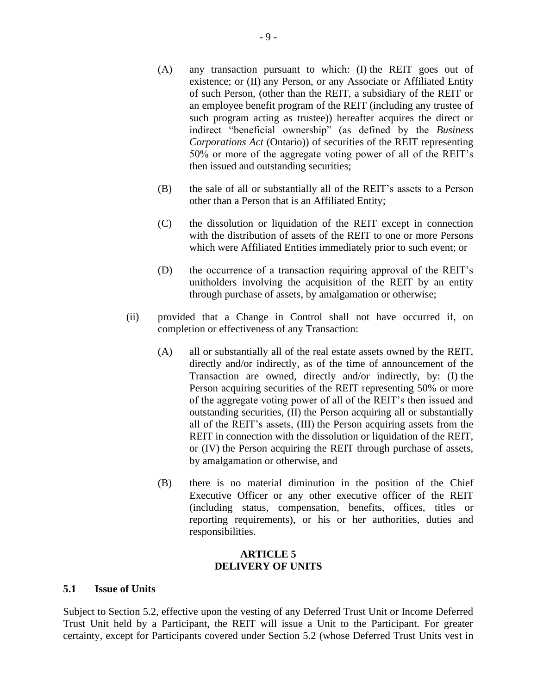- (A) any transaction pursuant to which: (I) the REIT goes out of existence; or (II) any Person, or any Associate or Affiliated Entity of such Person, (other than the REIT, a subsidiary of the REIT or an employee benefit program of the REIT (including any trustee of such program acting as trustee)) hereafter acquires the direct or indirect "beneficial ownership" (as defined by the *Business Corporations Act* (Ontario)) of securities of the REIT representing 50% or more of the aggregate voting power of all of the REIT's then issued and outstanding securities;
- (B) the sale of all or substantially all of the REIT's assets to a Person other than a Person that is an Affiliated Entity;
- (C) the dissolution or liquidation of the REIT except in connection with the distribution of assets of the REIT to one or more Persons which were Affiliated Entities immediately prior to such event; or
- (D) the occurrence of a transaction requiring approval of the REIT's unitholders involving the acquisition of the REIT by an entity through purchase of assets, by amalgamation or otherwise;
- (ii) provided that a Change in Control shall not have occurred if, on completion or effectiveness of any Transaction:
	- (A) all or substantially all of the real estate assets owned by the REIT, directly and/or indirectly, as of the time of announcement of the Transaction are owned, directly and/or indirectly, by: (I) the Person acquiring securities of the REIT representing 50% or more of the aggregate voting power of all of the REIT's then issued and outstanding securities, (II) the Person acquiring all or substantially all of the REIT's assets, (III) the Person acquiring assets from the REIT in connection with the dissolution or liquidation of the REIT, or (IV) the Person acquiring the REIT through purchase of assets, by amalgamation or otherwise, and
	- (B) there is no material diminution in the position of the Chief Executive Officer or any other executive officer of the REIT (including status, compensation, benefits, offices, titles or reporting requirements), or his or her authorities, duties and responsibilities.

#### **ARTICLE 5 DELIVERY OF UNITS**

#### **5.1 Issue of Units**

Subject to Section 5.2, effective upon the vesting of any Deferred Trust Unit or Income Deferred Trust Unit held by a Participant, the REIT will issue a Unit to the Participant. For greater certainty, except for Participants covered under Section 5.2 (whose Deferred Trust Units vest in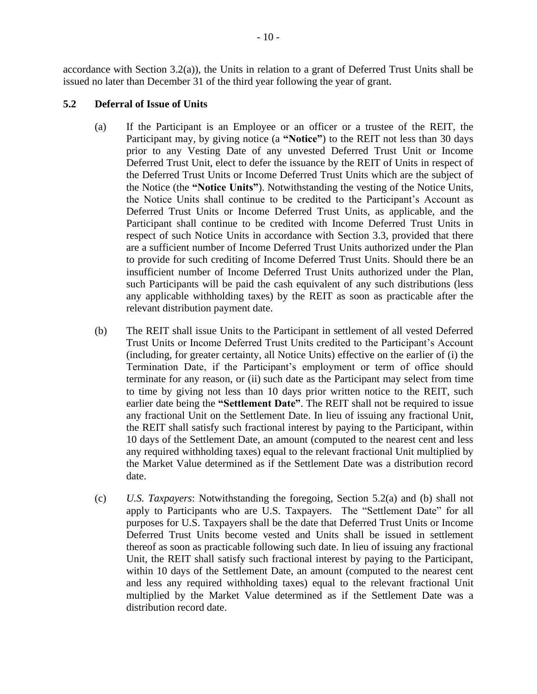accordance with Section 3.2(a)), the Units in relation to a grant of Deferred Trust Units shall be issued no later than December 31 of the third year following the year of grant.

# **5.2 Deferral of Issue of Units**

- (a) If the Participant is an Employee or an officer or a trustee of the REIT, the Participant may, by giving notice (a **"Notice"**) to the REIT not less than 30 days prior to any Vesting Date of any unvested Deferred Trust Unit or Income Deferred Trust Unit, elect to defer the issuance by the REIT of Units in respect of the Deferred Trust Units or Income Deferred Trust Units which are the subject of the Notice (the **"Notice Units"**). Notwithstanding the vesting of the Notice Units, the Notice Units shall continue to be credited to the Participant's Account as Deferred Trust Units or Income Deferred Trust Units, as applicable, and the Participant shall continue to be credited with Income Deferred Trust Units in respect of such Notice Units in accordance with Section 3.3, provided that there are a sufficient number of Income Deferred Trust Units authorized under the Plan to provide for such crediting of Income Deferred Trust Units. Should there be an insufficient number of Income Deferred Trust Units authorized under the Plan, such Participants will be paid the cash equivalent of any such distributions (less any applicable withholding taxes) by the REIT as soon as practicable after the relevant distribution payment date.
- (b) The REIT shall issue Units to the Participant in settlement of all vested Deferred Trust Units or Income Deferred Trust Units credited to the Participant's Account (including, for greater certainty, all Notice Units) effective on the earlier of (i) the Termination Date, if the Participant's employment or term of office should terminate for any reason, or (ii) such date as the Participant may select from time to time by giving not less than 10 days prior written notice to the REIT, such earlier date being the **"Settlement Date"**. The REIT shall not be required to issue any fractional Unit on the Settlement Date. In lieu of issuing any fractional Unit, the REIT shall satisfy such fractional interest by paying to the Participant, within 10 days of the Settlement Date, an amount (computed to the nearest cent and less any required withholding taxes) equal to the relevant fractional Unit multiplied by the Market Value determined as if the Settlement Date was a distribution record date.
- (c) *U.S. Taxpayers*: Notwithstanding the foregoing, Section 5.2(a) and (b) shall not apply to Participants who are U.S. Taxpayers. The "Settlement Date" for all purposes for U.S. Taxpayers shall be the date that Deferred Trust Units or Income Deferred Trust Units become vested and Units shall be issued in settlement thereof as soon as practicable following such date. In lieu of issuing any fractional Unit, the REIT shall satisfy such fractional interest by paying to the Participant, within 10 days of the Settlement Date, an amount (computed to the nearest cent and less any required withholding taxes) equal to the relevant fractional Unit multiplied by the Market Value determined as if the Settlement Date was a distribution record date.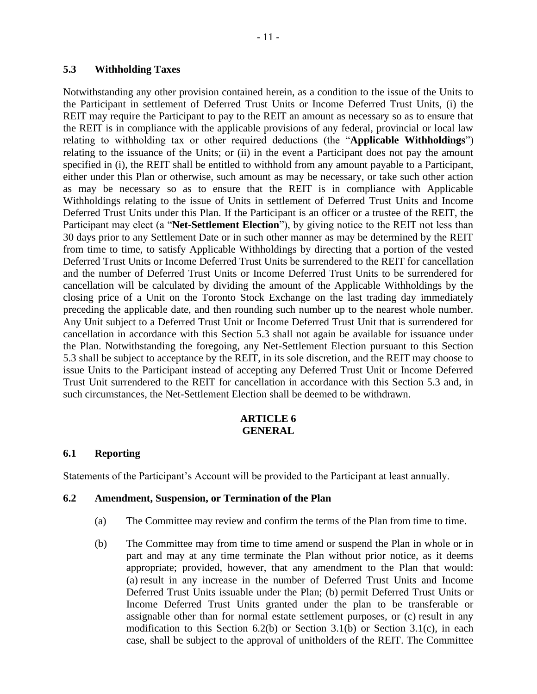### <span id="page-13-0"></span>**5.3 Withholding Taxes**

Notwithstanding any other provision contained herein, as a condition to the issue of the Units to the Participant in settlement of Deferred Trust Units or Income Deferred Trust Units, (i) the REIT may require the Participant to pay to the REIT an amount as necessary so as to ensure that the REIT is in compliance with the applicable provisions of any federal, provincial or local law relating to withholding tax or other required deductions (the "**Applicable Withholdings**") relating to the issuance of the Units; or (ii) in the event a Participant does not pay the amount specified in (i), the REIT shall be entitled to withhold from any amount payable to a Participant, either under this Plan or otherwise, such amount as may be necessary, or take such other action as may be necessary so as to ensure that the REIT is in compliance with Applicable Withholdings relating to the issue of Units in settlement of Deferred Trust Units and Income Deferred Trust Units under this Plan. If the Participant is an officer or a trustee of the REIT, the Participant may elect (a "**Net-Settlement Election**"), by giving notice to the REIT not less than 30 days prior to any Settlement Date or in such other manner as may be determined by the REIT from time to time, to satisfy Applicable Withholdings by directing that a portion of the vested Deferred Trust Units or Income Deferred Trust Units be surrendered to the REIT for cancellation and the number of Deferred Trust Units or Income Deferred Trust Units to be surrendered for cancellation will be calculated by dividing the amount of the Applicable Withholdings by the closing price of a Unit on the Toronto Stock Exchange on the last trading day immediately preceding the applicable date, and then rounding such number up to the nearest whole number. Any Unit subject to a Deferred Trust Unit or Income Deferred Trust Unit that is surrendered for cancellation in accordance with this Section 5.3 shall not again be available for issuance under the Plan. Notwithstanding the foregoing, any Net-Settlement Election pursuant to this Section 5.3 shall be subject to acceptance by the REIT, in its sole discretion, and the REIT may choose to issue Units to the Participant instead of accepting any Deferred Trust Unit or Income Deferred Trust Unit surrendered to the REIT for cancellation in accordance with this Section 5.3 and, in such circumstances, the Net-Settlement Election shall be deemed to be withdrawn.

### **ARTICLE 6 GENERAL**

### **6.1 Reporting**

Statements of the Participant's Account will be provided to the Participant at least annually.

#### **6.2 Amendment, Suspension, or Termination of the Plan**

- (a) The Committee may review and confirm the terms of the Plan from time to time.
- (b) The Committee may from time to time amend or suspend the Plan in whole or in part and may at any time terminate the Plan without prior notice, as it deems appropriate; provided, however, that any amendment to the Plan that would: (a) result in any increase in the number of Deferred Trust Units and Income Deferred Trust Units issuable under the Plan; (b) permit Deferred Trust Units or Income Deferred Trust Units granted under the plan to be transferable or assignable other than for normal estate settlement purposes, or (c) result in any modification to this Section 6.2(b) or Section 3.1(b) or Section 3.1(c), in each case, shall be subject to the approval of unitholders of the REIT. The Committee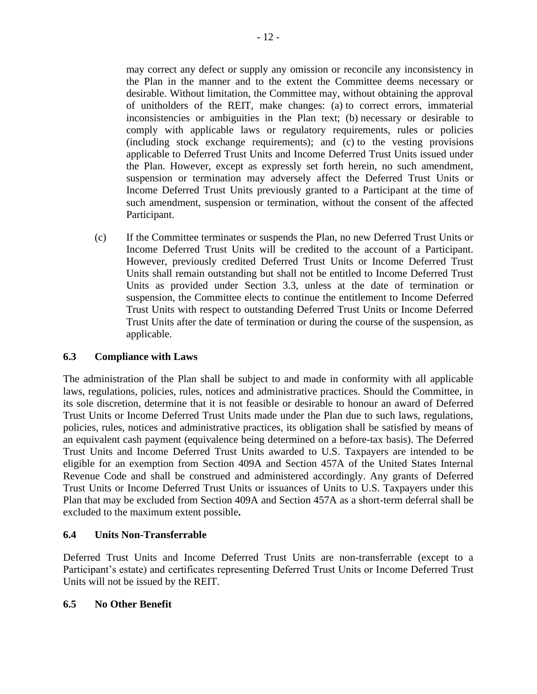may correct any defect or supply any omission or reconcile any inconsistency in the Plan in the manner and to the extent the Committee deems necessary or desirable. Without limitation, the Committee may, without obtaining the approval of unitholders of the REIT, make changes: (a) to correct errors, immaterial inconsistencies or ambiguities in the Plan text; (b) necessary or desirable to comply with applicable laws or regulatory requirements, rules or policies (including stock exchange requirements); and (c) to the vesting provisions applicable to Deferred Trust Units and Income Deferred Trust Units issued under the Plan. However, except as expressly set forth herein, no such amendment, suspension or termination may adversely affect the Deferred Trust Units or Income Deferred Trust Units previously granted to a Participant at the time of such amendment, suspension or termination, without the consent of the affected Participant.

(c) If the Committee terminates or suspends the Plan, no new Deferred Trust Units or Income Deferred Trust Units will be credited to the account of a Participant. However, previously credited Deferred Trust Units or Income Deferred Trust Units shall remain outstanding but shall not be entitled to Income Deferred Trust Units as provided under Section 3.3, unless at the date of termination or suspension, the Committee elects to continue the entitlement to Income Deferred Trust Units with respect to outstanding Deferred Trust Units or Income Deferred Trust Units after the date of termination or during the course of the suspension, as applicable.

# **6.3 Compliance with Laws**

The administration of the Plan shall be subject to and made in conformity with all applicable laws, regulations, policies, rules, notices and administrative practices. Should the Committee, in its sole discretion, determine that it is not feasible or desirable to honour an award of Deferred Trust Units or Income Deferred Trust Units made under the Plan due to such laws, regulations, policies, rules, notices and administrative practices, its obligation shall be satisfied by means of an equivalent cash payment (equivalence being determined on a before-tax basis). The Deferred Trust Units and Income Deferred Trust Units awarded to U.S. Taxpayers are intended to be eligible for an exemption from Section 409A and Section 457A of the United States Internal Revenue Code and shall be construed and administered accordingly. Any grants of Deferred Trust Units or Income Deferred Trust Units or issuances of Units to U.S. Taxpayers under this Plan that may be excluded from Section 409A and Section 457A as a short-term deferral shall be excluded to the maximum extent possible**.**

# **6.4 Units Non-Transferrable**

Deferred Trust Units and Income Deferred Trust Units are non-transferrable (except to a Participant's estate) and certificates representing Deferred Trust Units or Income Deferred Trust Units will not be issued by the REIT.

### **6.5 No Other Benefit**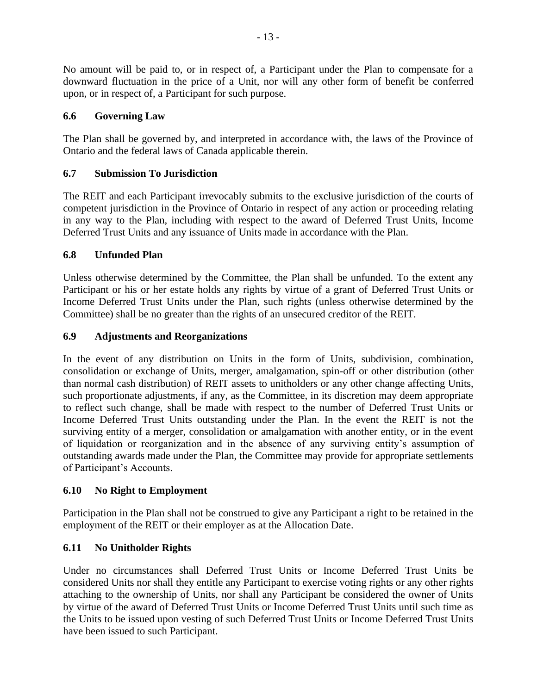No amount will be paid to, or in respect of, a Participant under the Plan to compensate for a downward fluctuation in the price of a Unit, nor will any other form of benefit be conferred upon, or in respect of, a Participant for such purpose.

# **6.6 Governing Law**

The Plan shall be governed by, and interpreted in accordance with, the laws of the Province of Ontario and the federal laws of Canada applicable therein.

# **6.7 Submission To Jurisdiction**

The REIT and each Participant irrevocably submits to the exclusive jurisdiction of the courts of competent jurisdiction in the Province of Ontario in respect of any action or proceeding relating in any way to the Plan, including with respect to the award of Deferred Trust Units, Income Deferred Trust Units and any issuance of Units made in accordance with the Plan.

# **6.8 Unfunded Plan**

Unless otherwise determined by the Committee, the Plan shall be unfunded. To the extent any Participant or his or her estate holds any rights by virtue of a grant of Deferred Trust Units or Income Deferred Trust Units under the Plan, such rights (unless otherwise determined by the Committee) shall be no greater than the rights of an unsecured creditor of the REIT.

# **6.9 Adjustments and Reorganizations**

In the event of any distribution on Units in the form of Units, subdivision, combination, consolidation or exchange of Units, merger, amalgamation, spin-off or other distribution (other than normal cash distribution) of REIT assets to unitholders or any other change affecting Units, such proportionate adjustments, if any, as the Committee, in its discretion may deem appropriate to reflect such change, shall be made with respect to the number of Deferred Trust Units or Income Deferred Trust Units outstanding under the Plan. In the event the REIT is not the surviving entity of a merger, consolidation or amalgamation with another entity, or in the event of liquidation or reorganization and in the absence of any surviving entity's assumption of outstanding awards made under the Plan, the Committee may provide for appropriate settlements of Participant's Accounts.

# **6.10 No Right to Employment**

Participation in the Plan shall not be construed to give any Participant a right to be retained in the employment of the REIT or their employer as at the Allocation Date.

# **6.11 No Unitholder Rights**

Under no circumstances shall Deferred Trust Units or Income Deferred Trust Units be considered Units nor shall they entitle any Participant to exercise voting rights or any other rights attaching to the ownership of Units, nor shall any Participant be considered the owner of Units by virtue of the award of Deferred Trust Units or Income Deferred Trust Units until such time as the Units to be issued upon vesting of such Deferred Trust Units or Income Deferred Trust Units have been issued to such Participant.